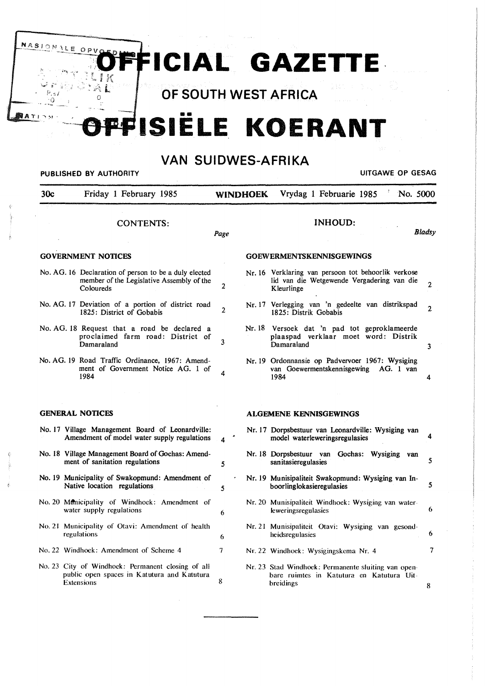FFICIAL GAZETTE

<sup>0</sup>**OF SOUTH WEST AFRICA** 

NASI

LE

 $OPV$ 

# **FFISIËLE KOERANT**

## **VAN SUIDWES-AFRIKA**

| 30c                       | Friday 1 February 1985<br>CONTENTS:                                                                             | <b>WINDHOEK</b> | Vrydag 1 Februarie 1985<br>No. 5000                                                                             |                |
|---------------------------|-----------------------------------------------------------------------------------------------------------------|-----------------|-----------------------------------------------------------------------------------------------------------------|----------------|
|                           |                                                                                                                 |                 |                                                                                                                 |                |
|                           |                                                                                                                 | Page            | <b>INHOUD:</b>                                                                                                  | <b>Bladsy</b>  |
| <b>GOVERNMENT NOTICES</b> |                                                                                                                 |                 | <b>GOEWERMENTSKENNISGEWINGS</b>                                                                                 |                |
|                           | No. AG. 16 Declaration of person to be a duly elected<br>member of the Legislative Assembly of the<br>Coloureds | $\overline{2}$  | Nr. 16 Verklaring van persoon tot behoorlik verkose<br>lid van die Wetgewende Vergadering van die<br>Kleurlinge | $\overline{c}$ |
|                           | No. AG. 17 Deviation of a portion of district road<br>1825: District of Gobabis                                 | $\overline{2}$  | Nr. 17 Verlegging van 'n gedeelte van distrikspad<br>1825: Distrik Gobabis                                      | $\overline{2}$ |
|                           | No. AG. 18 Request that a road be declared a<br>proclaimed farm road: District of<br>Damaraland                 | 3               | Nr. 18 Versoek dat 'n pad tot geproklameerde<br>plaaspad verklaar moet word: Distrik<br>Damaraland              | 3              |
| 1984                      | No. AG. 19 Road Traffic Ordinance, 1967: Amend-<br>ment of Government Notice AG. 1 of                           | 4               | Nr. 19 Ordonnansie op Padvervoer 1967: Wysiging<br>van Goewermentskennisgewing<br>AG. 1 van<br>1984             | 4              |
| <b>GENERAL NOTICES</b>    |                                                                                                                 |                 | <b>ALGEMENE KENNISGEWINGS</b>                                                                                   |                |
|                           | No. 17 Village Management Board of Leonardville:<br>Amendment of model water supply regulations                 | 4               | Nr. 17 Dorpsbestuur van Leonardville: Wysiging van<br>model waterleweringsregulasies                            | 4              |
|                           | No. 18 Village Management Board of Gochas: Amend-<br>ment of sanitation regulations                             | 5               | Nr. 18 Dorpsbestuur van Gochas: Wysiging van<br>sanitasieregulasies                                             | 5              |
|                           | No. 19 Municipality of Swakopmund: Amendment of<br>Native location regulations                                  | $\bullet$<br>5  | Nr. 19 Munisipaliteit Swakopmund: Wysiging van In-<br>boorlinglokasieregulasies                                 | 5              |
|                           | No. 20 Menicipality of Windhoek: Amendment of<br>water supply regulations                                       | 6               | Nr. 20 Munisipaliteit Windhoek: Wysiging van water-<br><b>leweringsregulasies</b>                               | 6              |
| regulations               | No. 21 Municipality of Otavi: Amendment of health                                                               | 6               | Nr. 21 Munisipaliteit Otavi: Wysiging van gesond-<br>heidsregulasies                                            | 6              |
|                           | No. 22 Windhoek: Amendment of Scheme 4                                                                          | 7               | Nr. 22 Windhoek: Wysigingskema Nr. 4                                                                            | $\tau$         |
| <b>Extensions</b>         | No. 23 City of Windhoek: Permanent closing of all<br>public open spaces in Katutura and Katutura                | 8               | Nr. 23 Stad Windhoek: Permanente sluiting van open-<br>bare ruimtes in Katutura en Katutura Uit-<br>breidings   | 8              |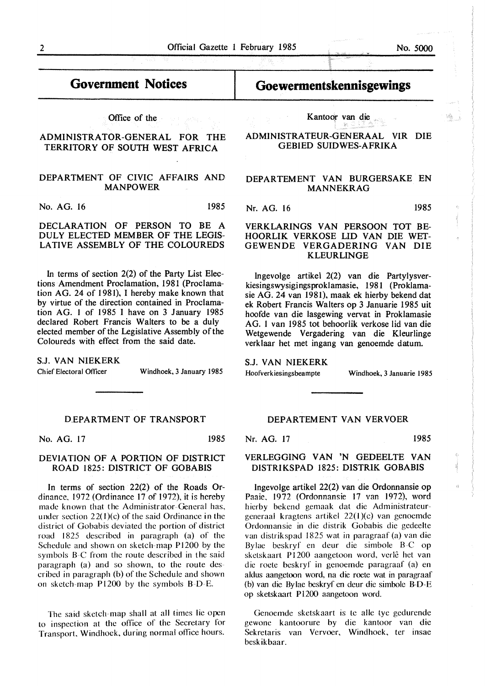## **Government Notices**

Office of the

### ADMINISTRATOR-GENERAL FOR THE TERRITORY OF SOUTH WEST AFRICA

#### DEPARTMENT OF CIVIC AFFAIRS AND MANPOWER

No. AG. 16 1985

DECLARATION OF PERSON TO BE A DULY ELECTED MEMBER OF THE LEGIS-LATIVE ASSEMBLY OF THE COLOUREDS

In terms of section  $2(2)$  of the Party List Elections Amendment Proclamation, 1981 (Proclamation AG. 24 of 1981), I hereby make known that by virtue of the direction contained in Proclamation AG. l of 1985 I have on 3 January 1985 declared Robert Francis Walters to be a duly elected member of the Legislative Assembly of the Coloureds with effect from the said date.

**S.J. VAN NIEKERK** 

Chief Electoral Officer Windhoek, 3 January 1985

#### D.EPARTMENT OF TRANSPORT

No. AG. 17 1985

#### **DEVIATION OF A PORTION OF DISTRICT**  ROAD 1825: DISTRICT OF GOBABIS

In terms of section 22(2) of the Roads Ordinance, 1972 (Ordinance 17 of 1972), it is hereby made known that the Administrator-General has, under section  $22(1)(c)$  of the said Ordinance in the district of Gobabis deviated the portion of district road 1825 described in paragraph (a) of the Schedule and shown on sketch-map Pl200 by the symbols B-C from the route described in the said paragraph (a) and so shown, to the route described in paragraph (b) of the Schedule and shown on sketch-map **P** 1200 by the symbols B-D-E.

The said sketch-map shall at all times lie open to inspection at the office of the Secretary for Transport, Windhoek, during normal office hours.

## **Goewermentskennisgewings**

Kantoor van die

ADMINISTRATEUR-GENERAAL VIR DIE GEBIED SUIDWES-AFRIKA

#### DEPARTEMENT VAN BURGERSAKE EN MANNEKRAG

Nr. AG. 16 1985

#### VERKLARINGS VAN PERSOON TOT BE-HOORLIK VERKOSE LID VAN DIE WET-GEWENDE VERGADERING VAN DIE KLEURLINGE

lngevolge artikel 2(2) van die Partylysverkiesingswysigi ngsproklamasie, 1981 (Proklamasie AG. 24 van 1981), maak ek hierby bekend dat ek Robert Francis Walters op 3 Januarie 1985 uit hoofde van die lasgewing vervat in Proklamasie AG. 1 van 1985 tot behoorlik verkose lid van die Wetgewende Vergadering van die Kleurlinge verklaar het met ingang van genoemde datum.

## **S.J. VAN NIEKERK**

Hoofverkiesingsbeampte Windhoek, 3 Januarie 1985

### DEPARTEMENT VAN VERVOER

Nr. AG. 17 1985

#### **VERLEGGING VAN 'N** GEDEELTE VAN **DISTRIKSPAD** 1825: **DISTRIK GOBABIS**

lngevolge artikel 22(2) van die Ordonnansie op Paaie, 1972 (Ordonnansie 17 van 1972), word hierby bekend gemaak dat die Administrateurgeneraal kragtens artikel 22(l)(c) van genoemde Ordonnansie in die distrik Gobabis die gedeelte van distrikspad 1825 wat in paragraaf (a) van die Bylae beskryf en deur die simbole B-C op sketskaart P1200 aangetoon word, verlê het van die roete beskryf in genoemde paragraaf (a) en aldus aangetoon word, na die roete wat in paragraaf (b) van die Bylae beskryf en deur die simbole B-D-E op sketskaart P 1200 aangetoon word.

Genoemde sketskaart is te alle tye gedurende gewone kantoorure by die kantoor van die Sekretaris van Vervoer, Windhoek, ter insae beskikbaar.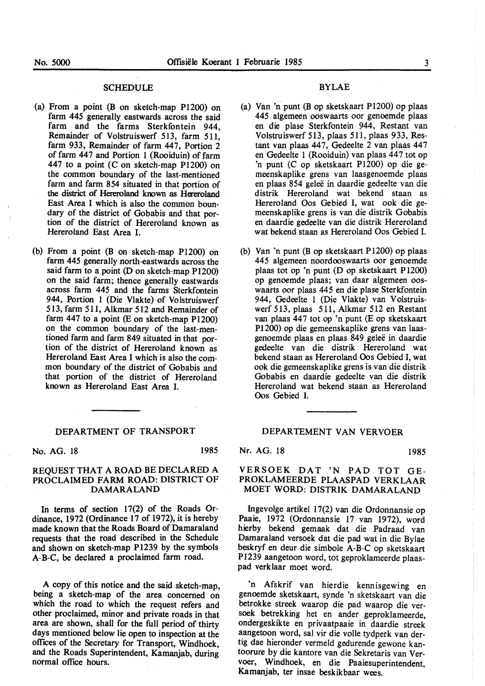#### **SCHEDULE**

- (a) From a point (B on sketch-map P1200) on farm 445 generally eastwards across the said farm and the farms Sterkfontein 944, Remainder of Volstruiswerf 513, farm 5ll, farm 933, Remainder of farm 447, Portion 2 of farm 447 and Portion 1 (Rooiduin) of farm 447 to a point (C on sketch-map P1200) on the common boundary of the last-mentioned farm and farm 854 situated in that portion of the district of Hereroland known as Hereroland East Area I which is also the common boundary of the district of Gobabis and that portion of the district of Hereroland known as Hereroland East Area I.
- (b) From a point (B on sketch-map Pl200) on farm 445 generally north-eastwards across the said farm to a point (D on sketch-map Pl200) on the said farm; thence generally eastwards across farm *445* and the farms Sterkfontein 944, Portion I (Die Vlakte) of Volstruiswerf 513, farm 511, Alkmar 512 and Remainder of farm  $447$  to a point (E on sketch-map P1200) on the common boundary of the last-mentioned farm and farm 849 situated in that portion of the district of Hereroland known as Hereroland East Area I which is also the common boundary of the district of Gobabis and that portion of the district of Hereroland known as Hereroland East Area I.

#### DEPARTMENT OF TRANSPORT

No. AG. 18 1985

#### REQUEST THAT A ROAD BE DECLARED A PROCLAIMED FARM ROAD: DISTRICT OF **DAMARALAND**

In terms of section 17(2) of the Roads Ordinance, 1972 (Ordinance 17 of 1972), it is hereby made known that the Roads Board of Damaraland requests that the road described in the Schedule and shown on sketch-map P1239 by the symbols A-B-C, be declared a proclaimed farm road.

A copy of this notice and the said sketch-map, being a sketch-map of the area concerned on which the road to which the request refers and other proclaimed, minor and private roads in that area are shown, shall for the full period of thirty days mentioned below lie open to inspection at the offices of the Secretary for Transport, Windhoek, and the Roads Superintendent, Kamanjab, during normal office hours.

#### **BYLAE**

- (a) Van 'n punt (B op sketskaart P1200) op plaas 445 algemeen ooswaarts oor genoemde plaas en die plase Sterkfontein 944, Restant van Volstruiswerf 513, plaas 511, plaas 933, Restant van plaas 447, Gedeelte 2 van plaas 447 en Gedeelte I (Rooiduin) van plaas 44 7 tot op 'n punt (C op sketskaart Pl200) op die gemeenskaplike grens van laasgenoemde plaas en plaas 854 gelee in daardie gedeelte van die distrik Hereroland wat bekend staan as Hereroland Oos Gebied I, wat ook die gemeenskaplike grens is van die distrik Gobabis en daardie gedeelte van die distrik Hereroland wat bekend staan as Hereroland Oos Gebied I.
- (b) Van 'n punt (Bop sketskaart P1200) op plaas 445 algemeen noordooswaarts oor genoemde plaas tot op 'n punt (D op sketskaart P 1200) op genoemde plaas; van daar algemeen ooswaarts oor plaas 445 en die plase Sterkfontein 944, Gedeelte 1 (Die Vlakte) van Volstruiswerf 513, plaas 511, Alkmar 512 en Restant van plaas 447 tot op 'n punt (E op sketskaart P1200) op die gemeenskaplike grens van laasgenoemde plaas en plaas 849 geleë in daardie gedeelte van die distrik Hereroland wat bekend staan as Hereroland Oos Gebied I, wat ook die gemeenskaplike grens is van die distrik Gobabis en daardie gedeelte van die distrik Hereroland wat bekend staan as Hereroland Oos Gebied I.

#### DEPARTEMENT VAN VERVOER

Nr. AG. 18 *1985* 

#### **VERSOEK DAT 'N PAD TOT GE-PROKLAMEERDE PLAASPAD VERKLAAR MOET WORD: DISTRIK DAMARALAND**

lngevolge artikel 17(2) van die Ordonnansie op Paaie, 1972 (Ordonnansie 17 van 1972), word hierby bekend gemaak dat die Padraad van Damaraland versoek dat die pad wat in die Bylae beskryf en deur die simbole A-B-C op sketskaart PI239 aangetoon word, tot geproklameerde plaaspad verklaar moet word

'n Afskrif van hierdie kennisgewing en genoemde sketskaart, synde 'n sketskaart van die betrokke streek waarop die pad waarop die versoek betrekking bet en ander geproklameerde, ondergeskikte en privaatpaaie in daardie streek aangetoon word, sal vir die volle tydperk van dertig dae hieronder vermeld gedurende gewone kantoorure by die kantore van die Sekretaris van Vervoer, Windhoek, en die Paaiesuperintendent, **Kamanjab, ter insae beskikbaar wees.**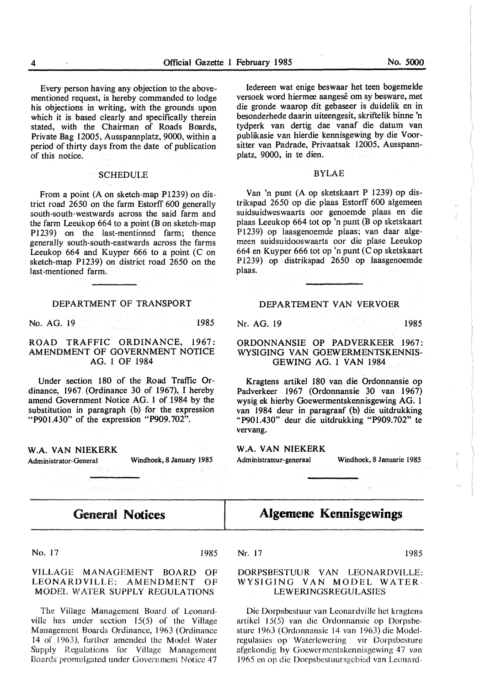Every person having any objection to the abovementioned request, is hereby commanded to lodge his objections in writing, with the grounds upon which it is based clearly and specifically therein stated, with the Chairman of Roads Boards, Private Bag 12005, Ausspannplatz, 9000, within a period of thirty days from the date of publication of this notice.

#### **SCHEDULE**

From a point (A on sketch-map Pl239) on district road 2650 on the farm Estorff 600 generally south-south-westwards across the said farm and the farm Leeukop  $664$  to a point (B on sketch-map Pl239) on the last-mentioned farm; thence generally south-south-eastwards across the farms Leeukop  $664$  and Kuyper  $666$  to a point (C on sketch-map PI239) on district road 2650 on the last-mentioned farm.

#### DEPARTMENT OF TRANSPORT

No. AG. 19 1985

ROAD TRAFFIC ORDINANCE, 1967: AMENDMENT OF GOVERNMENT NOTICE AG. 1 OF 1984

Under section 180 of the Road Traffic Ordinance, 1967 (Ordinance 30 of 1967), I hereby amend Government Notice AG. 1 of 1984 by the substitution in paragraph (b) for the expression "P901.430" of the expression "P909.702".

**W.A. VAN NIEKERK** 

Administrator-General Windhoek, 8 January 1985

## **General Notices**

### No. 17 1985

#### VILLAGE MANAGEMENT BOARD OF LEONARDVILLE: AMENDMENT OF MODEL WATER SUPPLY REGULATIONS

The Village Management Board of Leonardville has under section 15(5) of the Village Management Boards Ordinance, 1963 (Ordinance 14 of 1963), further amended the Model Water Supply Regulations for Village Management Boards promulgated under Government Notice 4 7

Iedereen wat enige beswaar bet teen bogemelde versoek word hiermee aangese om sy besware, met die gronde waarop dit gebaseer is duidelik en in besonderhede daarin uiteengesit, skriftelik binne 'n tydperk van dertig dae vanaf die datum van publikasie van hierdie kennisgewing by die Voorsitter van Padrade, Privaatsak 12005, Ausspannplatz, 9000, in te dien.

#### BYLAE

Van 'n punt (A op sketskaart P 1239) op distrikspad 2650 op die plaas Estorff 600 algemeen suidsuidweswaarts oor genoemde plaas en die plaas Leeukop 664 tot op 'n punt (B op sketskaart Pl239) op laasgenoemde plaas; van daar algemeen suidsuidooswaarts oor die plase Leeukop 664 en Kuyper 666 tot op 'n punt (C op sketskaart P 1239) op distrikspad 2650 op laasgenoemde plaas.

#### DEPARTEMENT VAN VERVOER

Nr. AG. 19 1985

#### ORDONNANSIE OP PADVERKEER 1967: WYSIGING VAN GOEWERMENTSKENNIS-GEWING AG. 1 VAN 1984

Kragtens artikel 180 van die Ordonnansie op Padverkeer 1967 (Ordonnansie 30 van 1967) wysig ek hierby Goewermentskennisgewing AG. 1 van 1984 deur in paragraaf (b) die uitdrukking "P901.430" deur die uitdrukking "P909.702" te vervang.

#### **W.A. VAN NIEKERK**

Administrateur-generaal Windhoek, 8 Januarie 1985

## **Algemene Kennisgewings**

Nr. 17 1985

### **DORPSBESTUUR VAN** LEONARDVILLE: **WYSIGING VAN MODEL WATER-LEWERINGSREGULASIES**

Die Dorpsbestuur van Leonardville het kragtens artikel 15(5) van die Ordonnansie op Dorpsbesture 1963 (Ordonnansie 14 van 1963) die Modelregulasies op Waterlewering vir Dorpsbesture afgekondig by Goewermentskennisgewing 47 van 1965 en op die Dorpsbestuursgebied van Leonard-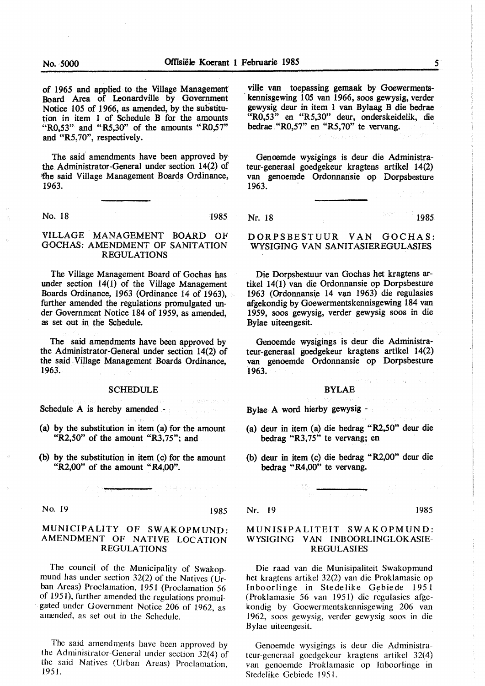of 1965 and applied to the Village Management Board Area of Leonardville by Government Notice 105 of 1966, as amended, by the substitution in item 1 of Schedule B for the amounts " $R0,53"$  and " $R5,30"$  of the amounts " $R0,57"$ and "R5,70", respectively.

The said' amendments have been approved by the Administrator-General under section 14(2) of the said Village Management Boards Ordinance, 1963. .

No. 18 1985

VILLAGE. MANAGEMENT BOARD OF GOCHAS: AMENDMENT OF SANITATION REGULATIONS

The Village Management Board of Gochas has under section 14(1) of the Village Management Boards Ordinance, 1963 (Ordinance 14 of 1963), further amended the regulations promulgated under Government Notice 184 of 1959, as amended, as set out in the Schedule.

The said amendments have been approved by the Administrator-General under section 14(2) of the said Village Management Boards Ordinance, 1963.

#### SCHEDULE

Schedule A is hereby amended -

- (a) by the substitution in item (a) for the amount "R2,50" of the amount "R3,75"; and
- (b) by the substitution in item (c) for the amount "R2,00" of the amount "R4,00".

No. 19 1985

#### MUNICIPALITY OF SWAKOPMUND: AMENDMENT OF NATIVE LOCATION REGULATIONS

The council of the Municipality of Swakopmund has under section  $32(2)$  of the Natives (Urban Areas) Proclamation, 1951 (Proclamation 56 of 195 I), further amended the regulations promul- . gated under Government Notice 206 of 1962, as amended, as set out in the Schedule.

The said amendments have been approved by the Administrator-General under section 32(4) of the said Natives (Urban Areas) Proclamation  $1951.$  ville van toepassing gemaak by Goewermentskennisgewing 105 van 1966, soos gewysig, verder gewysig deur in item 1 van Bylaag B die bedrae "R0,53" en "R5,30" deur, onderskeidelik, die bedrae "R0,57" en "R5,70" te vervang.

Genoemde wysigings is deur die Administrateur-generaal goedgekeur kragtens artikel 14(2) van genoemde Ordonnansie op Dorpsbesture 1963.

Nr. 18 1985

DORPSBESTUUR VAN GOCHAS: WYSIGING VAN SANITASIEREGULASIES

Die Dorpsbestuur van Gochas het kragtens artikel 14(1) van die Ordonnansie op Dorpsbesture 1963 (Ordonnans{e 14 van 1963) die regulasies afgekondig by Goewermentskennisgewing 184 van 1959, soos gewysig, verder gewysig soos in die Bylae uiteengesit.

Genoemde wysigings is deur die Administrateur-generaal goedgekeur kragtens artikel 14(2) van genoemde Ordonnansie op Dorpsbesture 1963.

#### BYLAE

Bylae A word hierby gewysig -

- (a) deur in item (a) die bedrag "R2,50" deur die bedrag "R3,75" te vervang; en
- (b) deur in item (c) die bedrag "R2,00" deur die bedrag "R4,00" te vervang.

Nr. 19 1985

#### MUNISIPALITEIT **SWAKOPMUND: WYSIGING VAN INBOORLINGLOKASIE-**REGULASIES

Die raad van die Munisipaliteit Swakopmund het kragtens artikel 32(2) van die Proklamasie op Inboorlinge in Stedelike Gebiede 1951 (Proklamasie 56 van 1951) die regulasies afgekondig by Goewermentskennisgewing 206 van 1962, soos gewysig, verder gewysig soos in die Bylae uiteengesit.

Genoemde wysigings is deur die Administrateur-generaal goedgekeur kragtens artikel 32(4) van genoemde Proklamasie op Inboorlinge in Stedelike Gebiede 1951.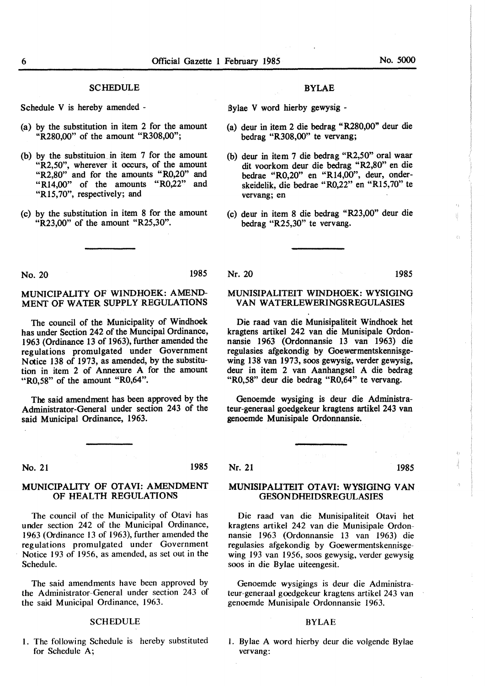#### **SCHEDULE**

Schedule V is hereby amended -

- (a) by the substitution in item 2 for the amount "R280,00" of the amount "R308,00";
- (b) by the substituion in item 7 for the amount "R2,50", wherever it occurs, of the amount "R2,80" and for the amounts "R0,20" and "Rl4,00" of the amounts "R0,22" and "R15,70", respectively; and
- (c) by the substitution in item 8 for the amount "R23,00" of the amount "R25,30".

#### BYLAE

Sylae V word hierby gewysig -

- (a) deur in item 2 die bedrag "R280,00" deur die bedrag "R308,00" te vervang;
- (b) deur in item 7 die bedrag "R2,50" oral waar dit voorkom deur die bedrag "R2,80" en die bedrae "R0,20" en "Rl4,00", deur, onderskeidelik, die bedrae "R0,22" en "R15,70" te vervang; en
- (c) deur in item 8 die bedrag "R23,00" deur die bedrag "R25,30" te vervang.

MUNISIPALITEIT WINDHOEK: WYSIGING VAN WATERLEWERINGSREGULASIES

Die raad van die Munisipaliteit Windhoek het kragtens artikel 242 van die Munisipale Ordonnansie 1963 (Ordonnansie 13 van 1963) die regulasies afgekondig by Goewermentskennisgewing 138 van 1973, soos gewysig, verder gewysig, deur in item 2 van Aanhangsel A die bedrag "R0,58" deur die bedrag "R0,64" te vervang.

Genoemde wysiging is deur die Administrateur-generaal goedgekeur kragtens artikel 243 van

genoemde Munisipale Ordonnansie.

No. 20 1985

#### MUNICIPALITY OF WINDHOEK: AMEND-MENT OF WATER SUPPLY REGULATIONS

The council of the Municipality of Windhoek has under Section 242 of the Muncipal Ordinance, 1963 (Ordinance 13 of 1963), further amended the regulations promulgated under Government **Notice** 138 of 1973, as amended, by the substitution in item 2 of Annexure A for the amount "R0,58" of the amount "R0,64".

The said amendment has been approved by the Administrator-General under section 243 of the said Municipal Ordinance, 1963.

#### No. 21 1985

#### MUNICIPALITY OF OTAVI: AMENDMENT OF HEALTH REGULATIONS

The council of the Municipality of Otavi has under section 242 of the Municipal Ordinance, 1963 (Ordinance 13 of 1963), further amended the regulations promulgated under Government Notice 193 of 1956, as amended, as set out in the Schedule.

The said amendments have been approved by the Administrator-General under section 243 of the said Municipal Ordinance, 1963.

#### **SCHEDULE**

I. The following Schedule is hereby substituted for Schedule A;

#### Nr. 21 1985

#### MUNISIPALITEIT OTAVI: WYSIGING VAN GESONDHEIDSREGULASIES

Die raad van die Munisipaliteit Otavi bet kragtens artikel 242 van die Munisipale Ordonnansie 1963 (Ordonnansie 13 van 1963) die regulasies afgekondig by Goewermentskennisgewing 193 van 1956, soos gewysig, verder gewysig soos in die Bylae uiteengesit.

Genoemde wysigings is deur die Administrateur-generaal goedgekeur kragtens artikel 243 van genoemde Munisipale Ordonnansie 1963.

#### BYLAE

1. Bylae A word hierby deur die volgende Bylae vervang:

### Nr. 20 1985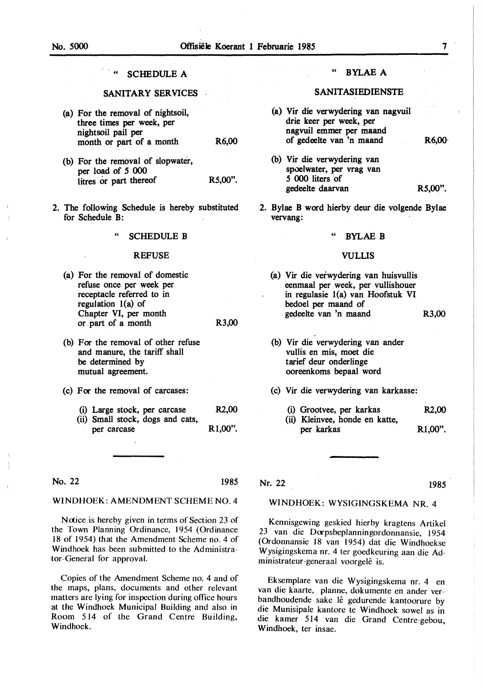### SCHEDULE A

### **SANITARY** SERVICES

- (a) For the removal of nightsoil, three times per week, per nightsoil pail per month or part of a month R6,00
- (b) For the removal of slopwater, per load of *5* 000 litres or part thereof R5,00".
- 2. The following Schedule is hereby substituted for Schedule B:

#### SCHEDULE B

#### REFUSE

- (a) For the removal of domestic refuse once per week per receptacle referred to in regulation I(a) of Chapter VI, per month or . part of a month R3,00
- (b) For the removal of other refuse and manure, the tariff shall be determined by mutual agreement.
- (c) For the removal of carcases:
	- (i) Large stock, per carcase R2,00
	- (ii) Small stock, dogs and cats, per carcase R1,00".

No. 22 1985

#### WINDHOEK: AMENDMENT SCHEME NO. 4

Notice is hereby given in terms of Section 23 of the Town Planning Ordinance, 1954 (Ordinance 18 of 1954) that the Amendment Scheme no. 4 of Windhoek has been submitted to the Administrator-General for approval.

Copies of the Amendment Scheme no. 4 and of the maps, plans, documents and other relevant matters are lying for inspection during office hours at the Windhoek Municipal Building and also in Room 514 of the Grand Centre Building, Windhoek.

#### " **BYLAE A**

#### **SANITASIEDIENSTE**

- (a) Vir die verwydering van nagvuil drie keer per week, per nagvuil emmer per maand of gedeelte van 'n maand R6,00· (b) Vir die verwydering van spoelwater, per vrag van *5* 000 liters ·or gedeelte daarvan R5,00".
- 2. Bylae B word hierby deur die volgende Bylae vervang:

#### BYLAE B

#### VULLIS

- (a) Vir die verwydering van huisvullis eenmaal per week, per vullishouer in regulasie l(a) van Hoofstuk VI bedoel per maand of gedeelte van 'n maand R3,00
- (b) Vir die verwydering van ander vullis en mis, moet die tarief deur onderlinge ooreenkoms bepaal word
- (c) Vir die verwydering van karkasse:
	- (i) Grootvee, per karkas R2,00
	- (ii) Kleinvee, honde en katte, per karkas Rl,00".

Nr. 22

#### 1985

#### **WINDHOEK: WYSIGINGSKEMA NR.** 4

Kennisgewing geskied hierby kragtens Artikel 23 van die Docpsbeplanningordonnansie, 1954 (Ordonnansie 18 van 1954) dat die Windhoekse Wysigingskema nr. 4 ter goedkeuring aan die Administrateur-generaal voorgelê is.

Eksemplare van die Wysigingskema nr. 4 en van die kaarte, planne, dokumente en ander verbandhoudende sake lê gedurende kantoorure by die Munisipale kantore te Windhoek sowel as in die kamer 514 van die Grand Centre-gebou, Windhoek, ter insae.